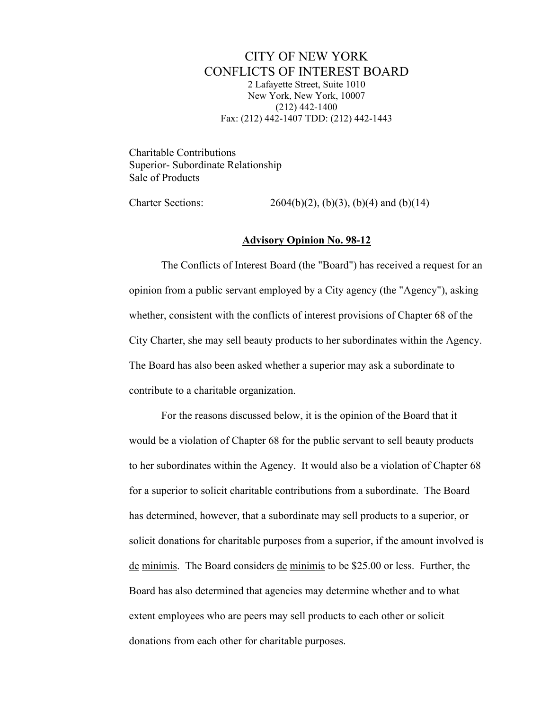CITY OF NEW YORK CONFLICTS OF INTEREST BOARD 2 Lafayette Street, Suite 1010 New York, New York, 10007 (212) 442-1400 Fax: (212) 442-1407 TDD: (212) 442-1443

Charitable Contributions Superior- Subordinate Relationship Sale of Products

Charter Sections:  $2604(b)(2)$ ,  $(b)(3)$ ,  $(b)(4)$  and  $(b)(14)$ 

## **Advisory Opinion No. 98-12**

The Conflicts of Interest Board (the "Board") has received a request for an opinion from a public servant employed by a City agency (the "Agency"), asking whether, consistent with the conflicts of interest provisions of Chapter 68 of the City Charter, she may sell beauty products to her subordinates within the Agency. The Board has also been asked whether a superior may ask a subordinate to contribute to a charitable organization.

For the reasons discussed below, it is the opinion of the Board that it would be a violation of Chapter 68 for the public servant to sell beauty products to her subordinates within the Agency. It would also be a violation of Chapter 68 for a superior to solicit charitable contributions from a subordinate. The Board has determined, however, that a subordinate may sell products to a superior, or solicit donations for charitable purposes from a superior, if the amount involved is de minimis. The Board considers de minimis to be \$25.00 or less. Further, the Board has also determined that agencies may determine whether and to what extent employees who are peers may sell products to each other or solicit donations from each other for charitable purposes.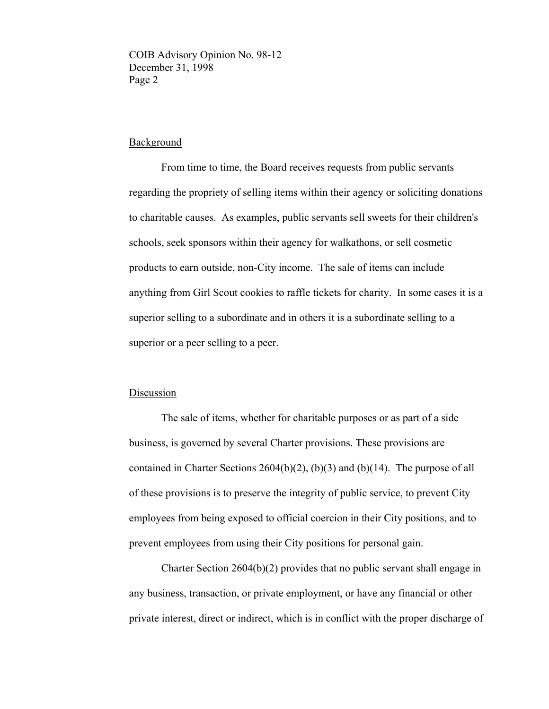## **Background**

From time to time, the Board receives requests from public servants regarding the propriety of selling items within their agency or soliciting donations to charitable causes. As examples, public servants sell sweets for their children's schools, seek sponsors within their agency for walkathons, or sell cosmetic products to earn outside, non-City income. The sale of items can include anything from Girl Scout cookies to raffle tickets for charity. In some cases it is a superior selling to a subordinate and in others it is a subordinate selling to a superior or a peer selling to a peer.

## Discussion

The sale of items, whether for charitable purposes or as part of a side business, is governed by several Charter provisions. These provisions are contained in Charter Sections 2604(b)(2), (b)(3) and (b)(14). The purpose of all of these provisions is to preserve the integrity of public service, to prevent City employees from being exposed to official coercion in their City positions, and to prevent employees from using their City positions for personal gain.

Charter Section 2604(b)(2) provides that no public servant shall engage in any business, transaction, or private employment, or have any financial or other private interest, direct or indirect, which is in conflict with the proper discharge of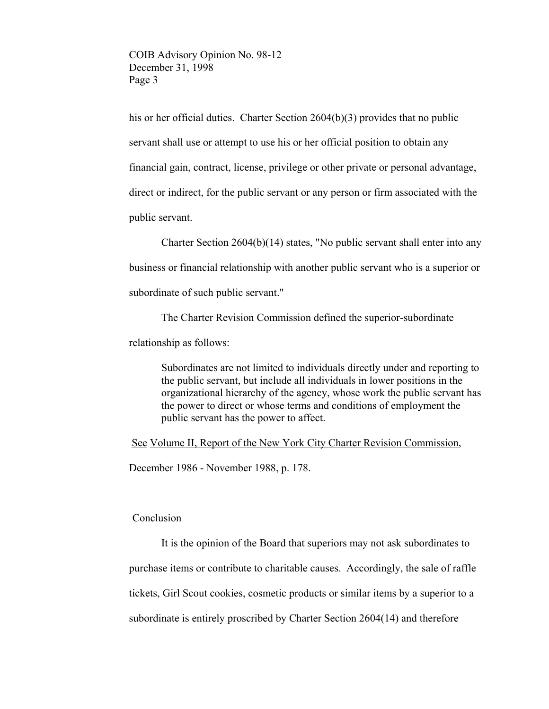his or her official duties. Charter Section 2604(b)(3) provides that no public servant shall use or attempt to use his or her official position to obtain any financial gain, contract, license, privilege or other private or personal advantage, direct or indirect, for the public servant or any person or firm associated with the public servant.

Charter Section 2604(b)(14) states, "No public servant shall enter into any business or financial relationship with another public servant who is a superior or subordinate of such public servant."

The Charter Revision Commission defined the superior-subordinate

relationship as follows:

Subordinates are not limited to individuals directly under and reporting to the public servant, but include all individuals in lower positions in the organizational hierarchy of the agency, whose work the public servant has the power to direct or whose terms and conditions of employment the public servant has the power to affect.

See Volume II, Report of the New York City Charter Revision Commission,

December 1986 - November 1988, p. 178.

## Conclusion

It is the opinion of the Board that superiors may not ask subordinates to purchase items or contribute to charitable causes. Accordingly, the sale of raffle tickets, Girl Scout cookies, cosmetic products or similar items by a superior to a subordinate is entirely proscribed by Charter Section 2604(14) and therefore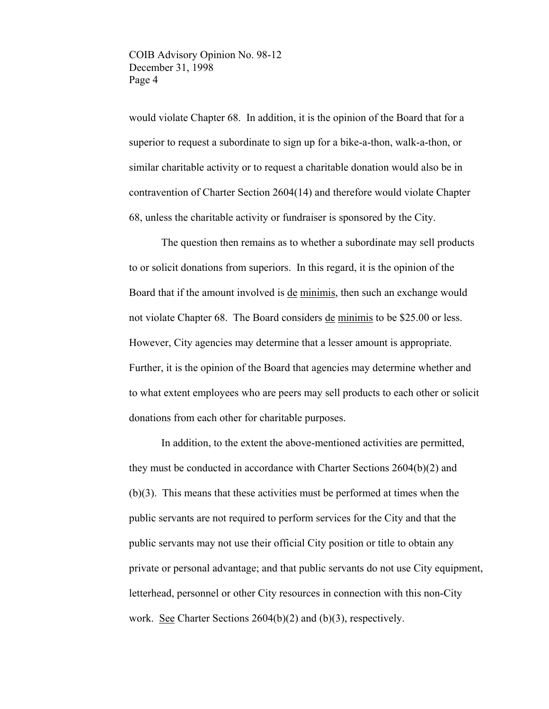would violate Chapter 68. In addition, it is the opinion of the Board that for a superior to request a subordinate to sign up for a bike-a-thon, walk-a-thon, or similar charitable activity or to request a charitable donation would also be in contravention of Charter Section 2604(14) and therefore would violate Chapter 68, unless the charitable activity or fundraiser is sponsored by the City.

The question then remains as to whether a subordinate may sell products to or solicit donations from superiors. In this regard, it is the opinion of the Board that if the amount involved is de minimis, then such an exchange would not violate Chapter 68. The Board considers de minimis to be \$25.00 or less. However, City agencies may determine that a lesser amount is appropriate. Further, it is the opinion of the Board that agencies may determine whether and to what extent employees who are peers may sell products to each other or solicit donations from each other for charitable purposes.

In addition, to the extent the above-mentioned activities are permitted, they must be conducted in accordance with Charter Sections 2604(b)(2) and (b)(3). This means that these activities must be performed at times when the public servants are not required to perform services for the City and that the public servants may not use their official City position or title to obtain any private or personal advantage; and that public servants do not use City equipment, letterhead, personnel or other City resources in connection with this non-City work. See Charter Sections  $2604(b)(2)$  and  $(b)(3)$ , respectively.